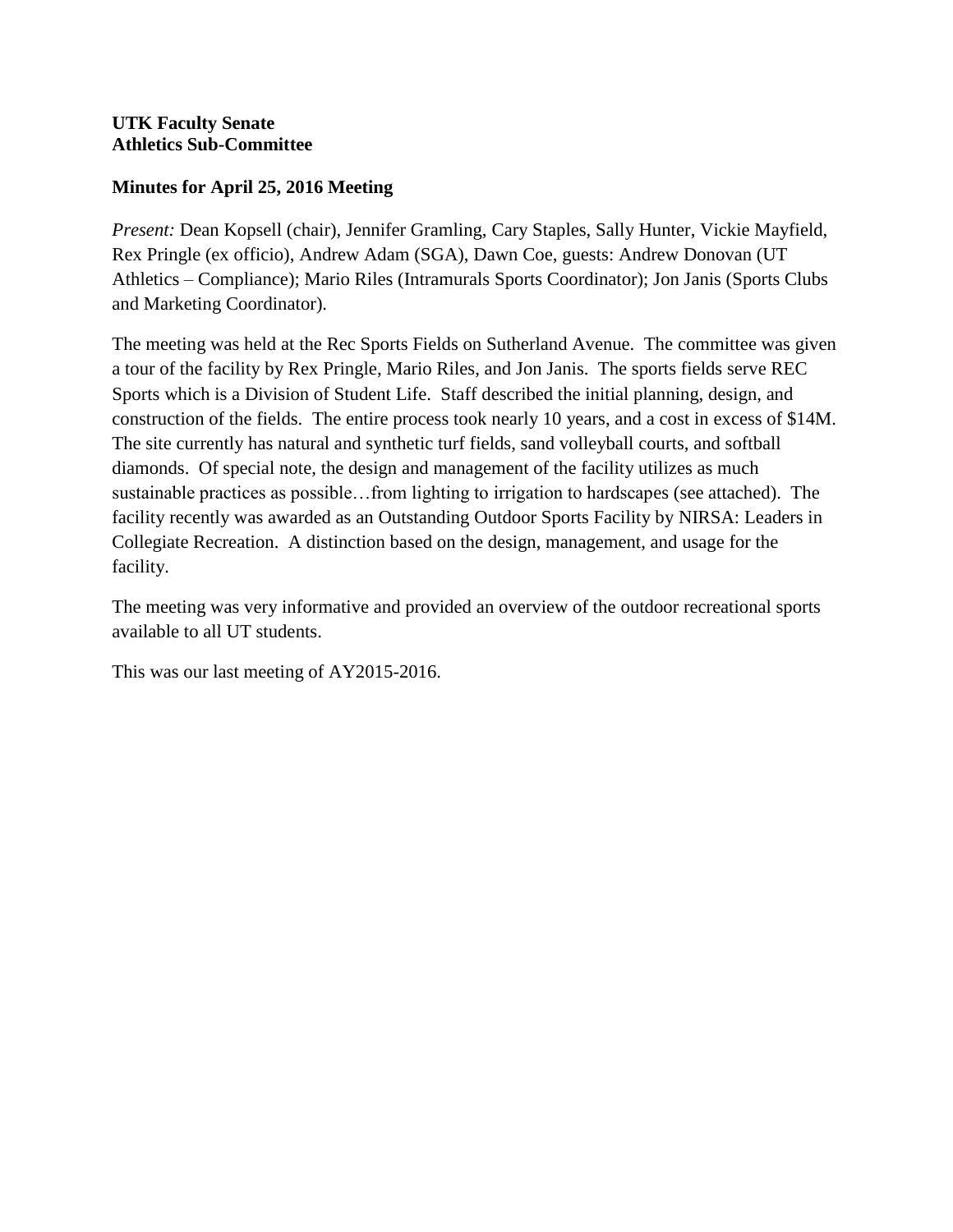## **Minutes for April 25, 2016 Meeting**

*Present:* Dean Kopsell (chair), Jennifer Gramling, Cary Staples, Sally Hunter, Vickie Mayfield, Rex Pringle (ex officio), Andrew Adam (SGA), Dawn Coe, guests: Andrew Donovan (UT Athletics – Compliance); Mario Riles (Intramurals Sports Coordinator); Jon Janis (Sports Clubs and Marketing Coordinator).

The meeting was held at the Rec Sports Fields on Sutherland Avenue. The committee was given a tour of the facility by Rex Pringle, Mario Riles, and Jon Janis. The sports fields serve REC Sports which is a Division of Student Life. Staff described the initial planning, design, and construction of the fields. The entire process took nearly 10 years, and a cost in excess of \$14M. The site currently has natural and synthetic turf fields, sand volleyball courts, and softball diamonds. Of special note, the design and management of the facility utilizes as much sustainable practices as possible…from lighting to irrigation to hardscapes (see attached). The facility recently was awarded as an Outstanding Outdoor Sports Facility by NIRSA: Leaders in Collegiate Recreation. A distinction based on the design, management, and usage for the facility.

The meeting was very informative and provided an overview of the outdoor recreational sports available to all UT students.

This was our last meeting of AY2015-2016.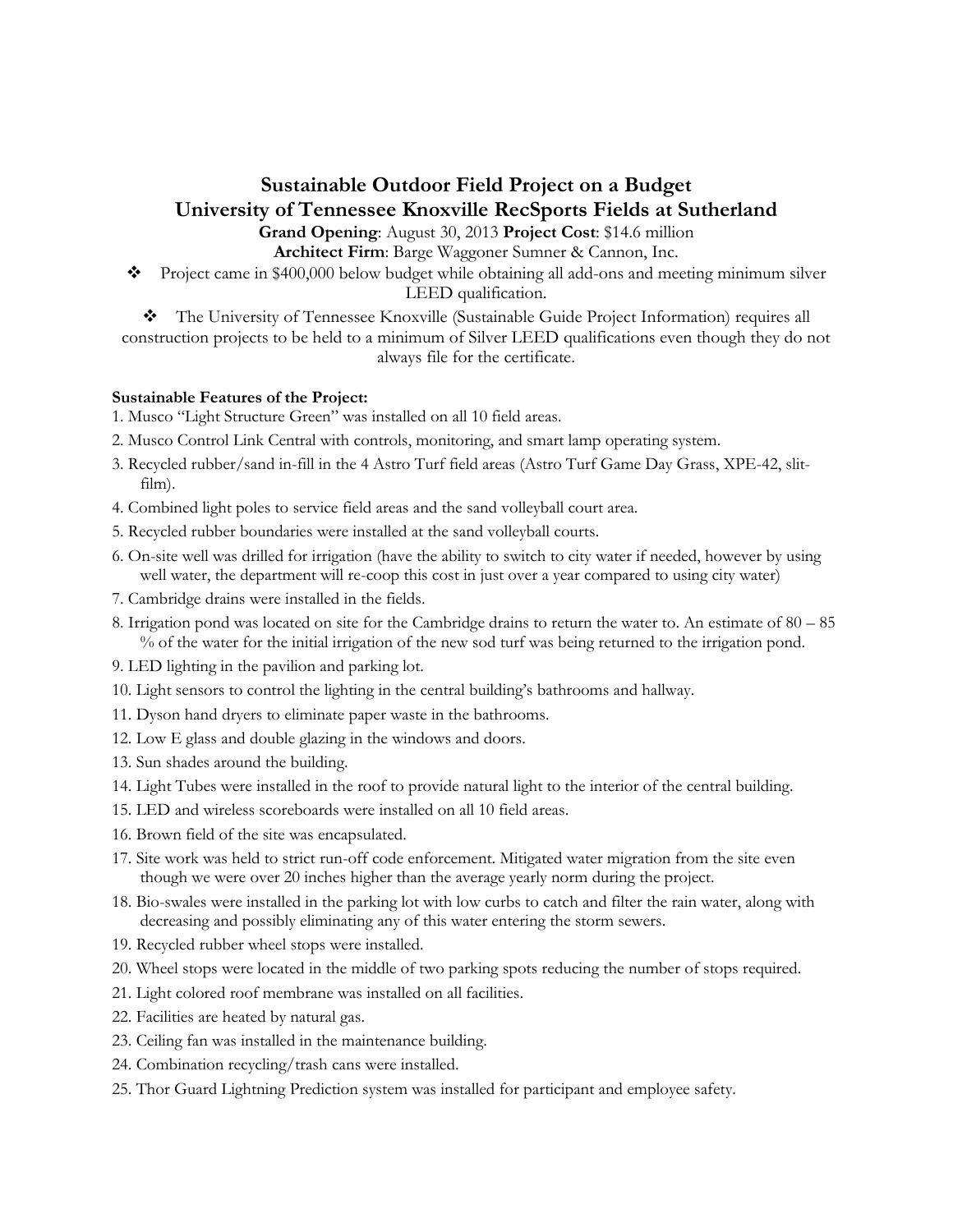## **Sustainable Outdoor Field Project on a Budget University of Tennessee Knoxville RecSports Fields at Sutherland**

**Grand Opening**: August 30, 2013 **Project Cost**: \$14.6 million **Architect Firm**: Barge Waggoner Sumner & Cannon, Inc.

\* Project came in \$400,000 below budget while obtaining all add-ons and meeting minimum silver LEED qualification.

The University of Tennessee Knoxville (Sustainable Guide Project Information) requires all construction projects to be held to a minimum of Silver LEED qualifications even though they do not always file for the certificate.

## **Sustainable Features of the Project:**

- 1. Musco "Light Structure Green" was installed on all 10 field areas.
- 2. Musco Control Link Central with controls, monitoring, and smart lamp operating system.
- 3. Recycled rubber/sand in-fill in the 4 Astro Turf field areas (Astro Turf Game Day Grass, XPE-42, slitfilm).
- 4. Combined light poles to service field areas and the sand volleyball court area.
- 5. Recycled rubber boundaries were installed at the sand volleyball courts.
- 6. On-site well was drilled for irrigation (have the ability to switch to city water if needed, however by using well water, the department will re-coop this cost in just over a year compared to using city water)
- 7. Cambridge drains were installed in the fields.
- 8. Irrigation pond was located on site for the Cambridge drains to return the water to. An estimate of 80 85 % of the water for the initial irrigation of the new sod turf was being returned to the irrigation pond.
- 9. LED lighting in the pavilion and parking lot.
- 10. Light sensors to control the lighting in the central building's bathrooms and hallway.
- 11. Dyson hand dryers to eliminate paper waste in the bathrooms.
- 12. Low E glass and double glazing in the windows and doors.
- 13. Sun shades around the building.
- 14. Light Tubes were installed in the roof to provide natural light to the interior of the central building.
- 15. LED and wireless scoreboards were installed on all 10 field areas.
- 16. Brown field of the site was encapsulated.
- 17. Site work was held to strict run-off code enforcement. Mitigated water migration from the site even though we were over 20 inches higher than the average yearly norm during the project.
- 18. Bio-swales were installed in the parking lot with low curbs to catch and filter the rain water, along with decreasing and possibly eliminating any of this water entering the storm sewers.
- 19. Recycled rubber wheel stops were installed.
- 20. Wheel stops were located in the middle of two parking spots reducing the number of stops required.
- 21. Light colored roof membrane was installed on all facilities.
- 22. Facilities are heated by natural gas.
- 23. Ceiling fan was installed in the maintenance building.
- 24. Combination recycling/trash cans were installed.
- 25. Thor Guard Lightning Prediction system was installed for participant and employee safety.